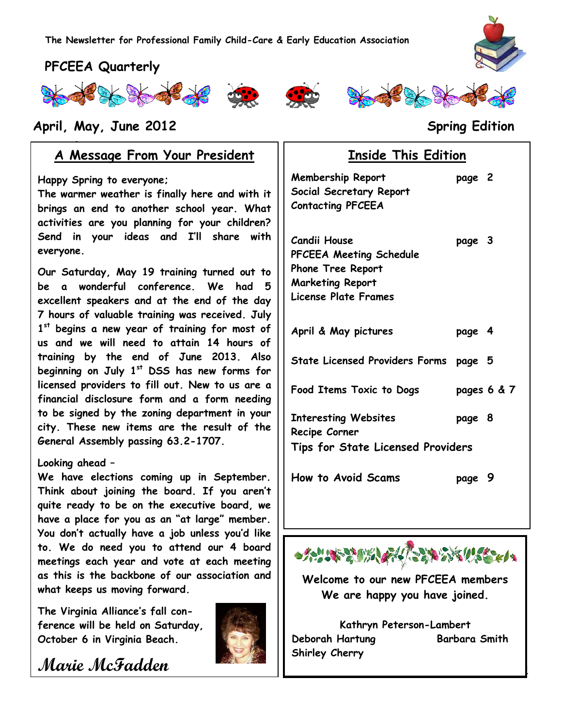# **PFCEEA Quarterly**







## **April, May, June 2012 Spring Edition**

## **www.pfceea.com A Message From Your President**

**Happy Spring to everyone;**

**The warmer weather is finally here and with it brings an end to another school year. What activities are you planning for your children? Send in your ideas and I'll share with everyone.**

**Our Saturday, May 19 training turned out to be a wonderful conference. We had 5 excellent speakers and at the end of the day 7 hours of valuable training was received. July 1 st begins a new year of training for most of us and we will need to attain 14 hours of training by the end of June 2013. Also beginning on July 1st DSS has new forms for licensed providers to fill out. New to us are a financial disclosure form and a form needing to be signed by the zoning department in your city. These new items are the result of the General Assembly passing 63.2-1707.** 

#### **Looking ahead –**

**We have elections coming up in September. Think about joining the board. If you aren't quite ready to be on the executive board, we have a place for you as an "at large" member. You don't actually have a job unless you'd like to. We do need you to attend our 4 board meetings each year and vote at each meeting as this is the backbone of our association and what keeps us moving forward.**

**The Virginia Alliance's fall conference will be held on Saturday, October 6 in Virginia Beach.**



**Marie McFadden**

# **Inside This Edition**

| Membership Report<br>Social Secretary Report<br><b>Contacting PFCEEA</b>                                               | page 2 |             |
|------------------------------------------------------------------------------------------------------------------------|--------|-------------|
| Candii House<br><b>PFCEEA Meeting Schedule</b><br>Phone Tree Report<br><b>Marketing Report</b><br>License Plate Frames | page 3 |             |
| April & May pictures                                                                                                   | page 4 |             |
| State Licensed Providers Forms page 5                                                                                  |        |             |
| Food Items Toxic to Dogs                                                                                               |        | pages 6 & 7 |
| <b>Interesting Websites</b><br>Recipe Corner                                                                           | page 8 |             |
| <b>Tips for State Licensed Providers</b>                                                                               |        |             |
| <b>How to Avoid Scams</b>                                                                                              | page 9 |             |



**Welcome to our new PFCEEA members We are happy you have joined.**

**Kathryn Peterson-Lambert Deborah Hartung Barbara Smith Shirley Cherry**

1

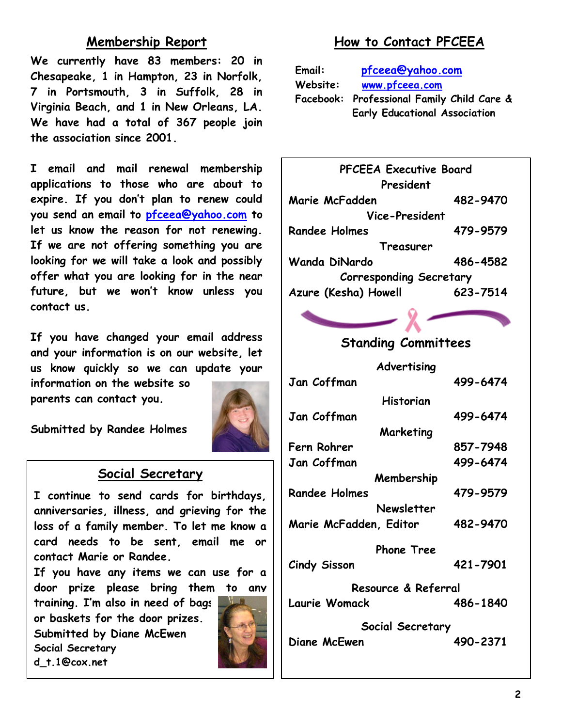## **Membership Report**

**We currently have 83 members: 20 in Chesapeake, 1 in Hampton, 23 in Norfolk, 7 in Portsmouth, 3 in Suffolk, 28 in Virginia Beach, and 1 in New Orleans, LA. We have had a total of 367 people join the association since 2001.**

**I email and mail renewal membership applications to those who are about to expire. If you don't plan to renew could you send an email to [pfceea@yahoo.com](mailto:pfceea@yahoo.com) to let us know the reason for not renewing. If we are not offering something you are looking for we will take a look and possibly offer what you are looking for in the near future, but we won't know unless you contact us.**

**If you have changed your email address and your information is on our website, let us know quickly so we can update your** 

**information on the website so parents can contact you.**

**Submitted by Randee Holmes**

## **Social Secretary**

**I continue to send cards for birthdays, anniversaries, illness, and grieving for the loss of a family member. To let me know a card needs to be sent, email me or contact Marie or Randee.**

**If you have any items we can use for a door prize please bring them to any** 

**training. I'm also in need of bags or baskets for the door prizes. Submitted by Diane McEwen Social Secretary d\_t.1@cox.net**



# **How to Contact PFCEEA**

| Email:   | pfceea@yahoo.com                           |  |
|----------|--------------------------------------------|--|
| Website: | www.pfceea.com                             |  |
|          | Facebook: Professional Family Child Care & |  |
|          | <b>Early Educational Association</b>       |  |



# **Standing Committees**

| Advertising            |          |
|------------------------|----------|
| Jan Coffman            | 499-6474 |
| Historian              |          |
| Jan Coffman            | 499-6474 |
| Marketing              |          |
| Fern Rohrer            | 857-7948 |
| Jan Coffman            | 499-6474 |
| Membership             |          |
| <b>Randee Holmes</b>   | 479-9579 |
| Newsletter             |          |
| Marie McFadden, Editor | 482-9470 |
| <b>Phone Tree</b>      |          |
| Cindy Sisson           | 421-7901 |
| Resource & Referral    |          |
| Laurie Womack          | 486-1840 |
| Social Secretary       |          |
| Diane McEwen           | 490-2371 |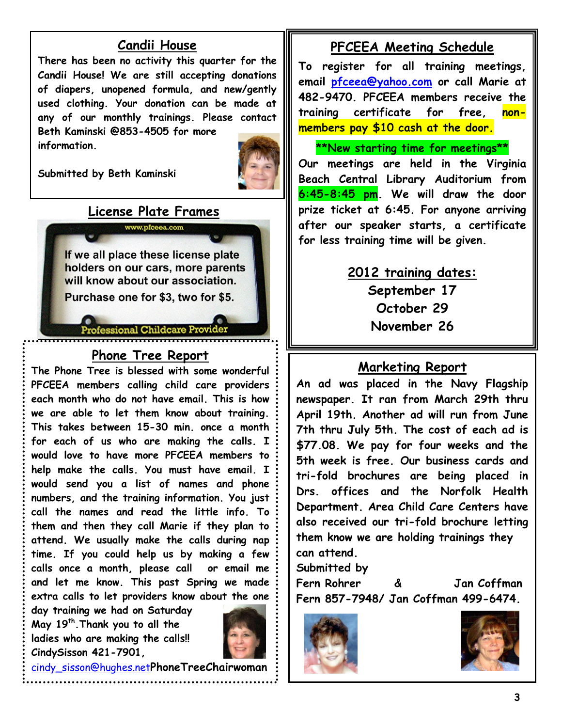## **Candii House**

**There has been no activity this quarter for the Candii House! We are still accepting donations of diapers, unopened formula, and new/gently used clothing. Your donation can be made at any of our monthly trainings. Please contact Beth Kaminski @853-4505 for more information.**

**Submitted by Beth Kaminski**



**License Plate Frames** www.pfceea.com

If we all place these license plate holders on our cars, more parents will know about our association.

Purchase one for \$3, two for \$5.

ofessional Childcare Provi

# **Phone Tree Report**

**The Phone Tree is blessed with some wonderful PFCEEA members calling child care providers each month who do not have email. This is how we are able to let them know about training. This takes between 15-30 min. once a month for each of us who are making the calls. I would love to have more PFCEEA members to help make the calls. You must have email. I would send you a list of names and phone numbers, and the training information. You just call the names and read the little info. To them and then they call Marie if they plan to attend. We usually make the calls during nap time. If you could help us by making a few calls once a month, please call or email me and let me know. This past Spring we made extra calls to let providers know about the one** 

**day training we had on Saturday May 19th.Thank you to all the ladies who are making the calls!! CindySisson 421-7901,** 



[cindy\\_sisson@hughes.net](mailto:cindy_sisson@hughes.net)**PhoneTreeChairwoman**

### **PFCEEA Meeting Schedule**

**To register for all training meetings, email [pfceea@yahoo.com](mailto:pfceea@yahoo.com) or call Marie at 482-9470. PFCEEA members receive the training certificate for free, nonmembers pay \$10 cash at the door.**

**\*\*New starting time for meetings\*\* Our meetings are held in the Virginia Beach Central Library Auditorium from 6:45-8:45 pm. We will draw the door prize ticket at 6:45. For anyone arriving after our speaker starts, a certificate for less training time will be given.**

# **2012 training dates: September 17 October 29 November 26**

### **Marketing Report**

**An ad was placed in the Navy Flagship newspaper. It ran from March 29th thru April 19th. Another ad will run from June 7th thru July 5th. The cost of each ad is \$77.08. We pay for four weeks and the 5th week is free. Our business cards and tri-fold brochures are being placed in Drs. offices and the Norfolk Health Department. Area Child Care Centers have also received our tri-fold brochure letting them know we are holding trainings they can attend.**

**Submitted by** 

**Fern Rohrer & Jan Coffman Fern 857-7948/ Jan Coffman 499-6474.**



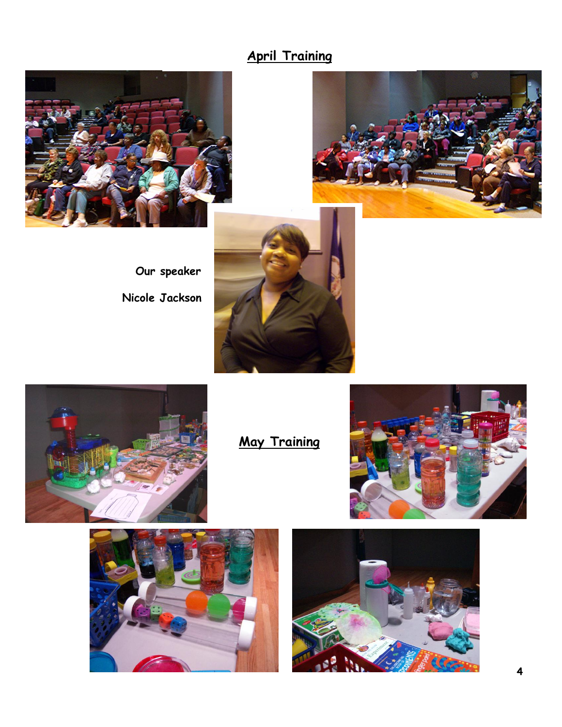# **April Training**





**Our speaker Nicole Jackson**





**May Training**





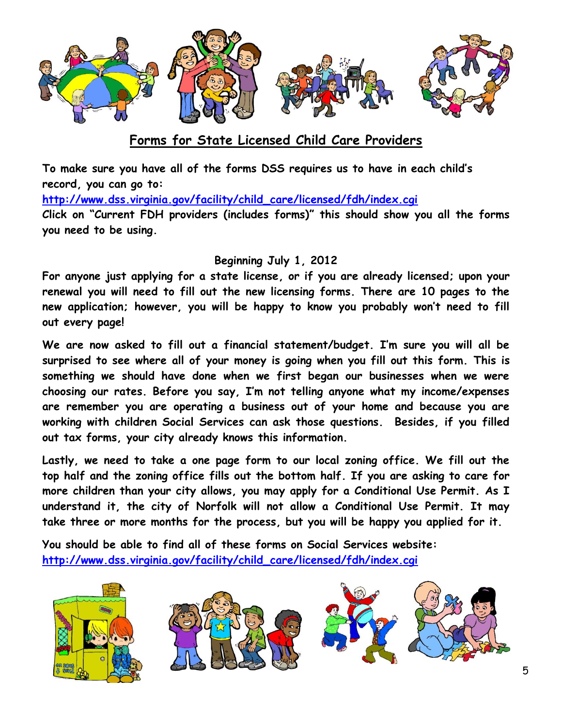

# **Forms for State Licensed Child Care Providers**

**To make sure you have all of the forms DSS requires us to have in each child's record, you can go to:** 

**[http://www.dss.virginia.gov/facility/child\\_care/licensed/fdh/index.cgi](http://www.dss.virginia.gov/facility/child_care/licensed/fdh/index.cgi)**

**Click on "Current FDH providers (includes forms)" this should show you all the forms you need to be using.**

#### **Beginning July 1, 2012**

**For anyone just applying for a state license, or if you are already licensed; upon your renewal you will need to fill out the new licensing forms. There are 10 pages to the new application; however, you will be happy to know you probably won't need to fill out every page!** 

**We are now asked to fill out a financial statement/budget. I'm sure you will all be surprised to see where all of your money is going when you fill out this form. This is something we should have done when we first began our businesses when we were choosing our rates. Before you say, I'm not telling anyone what my income/expenses are remember you are operating a business out of your home and because you are working with children Social Services can ask those questions. Besides, if you filled out tax forms, your city already knows this information.**

**Lastly, we need to take a one page form to our local zoning office. We fill out the top half and the zoning office fills out the bottom half. If you are asking to care for more children than your city allows, you may apply for a Conditional Use Permit. As I understand it, the city of Norfolk will not allow a Conditional Use Permit. It may take three or more months for the process, but you will be happy you applied for it.**

**You should be able to find all of these forms on Social Services website: [http://www.dss.virginia.gov/facility/child\\_care/licensed/fdh/index.cgi](http://www.dss.virginia.gov/facility/child_care/licensed/fdh/index.cgi)**

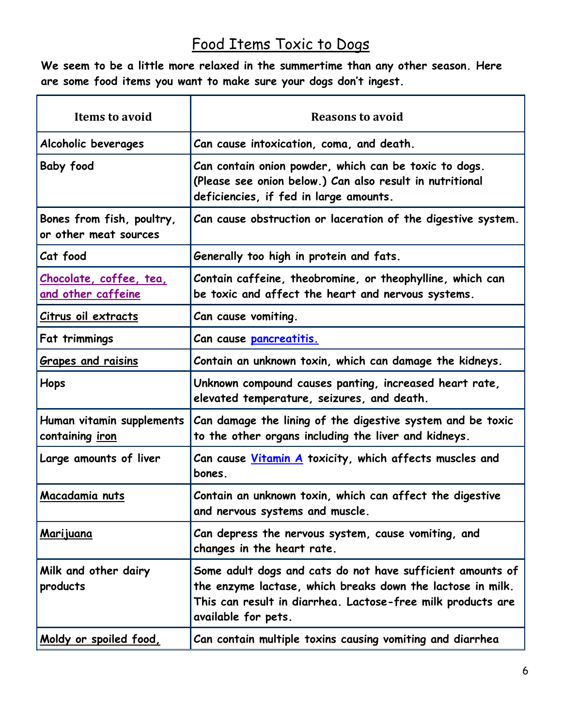# Food Items Toxic to Dogs

**We seem to be a little more relaxed in the summertime than any other season. Here are some food items you want to make sure your dogs don't ingest.**

| <b>Items to avoid</b>                                | <b>Reasons to avoid</b>                                                                                                                                                                                        |
|------------------------------------------------------|----------------------------------------------------------------------------------------------------------------------------------------------------------------------------------------------------------------|
| Alcoholic beverages                                  | Can cause intoxication, coma, and death.                                                                                                                                                                       |
| <b>Baby food</b>                                     | Can contain onion powder, which can be toxic to dogs.<br>(Please see onion below.) Can also result in nutritional<br>deficiencies, if fed in large amounts.                                                    |
| Bones from fish, poultry,<br>or other meat sources   | Can cause obstruction or laceration of the digestive system.                                                                                                                                                   |
| Cat food                                             | Generally too high in protein and fats.                                                                                                                                                                        |
| Chocolate, coffee, tea,<br><u>and other caffeine</u> | Contain caffeine, theobromine, or theophylline, which can<br>be toxic and affect the heart and nervous systems.                                                                                                |
| <u>Citrus oil extracts</u>                           | Can cause vomiting.                                                                                                                                                                                            |
| Fat trimmings                                        | Can cause pancreatitis.                                                                                                                                                                                        |
| <b>Grapes and raisins</b>                            | Contain an unknown toxin, which can damage the kidneys.                                                                                                                                                        |
| Hops                                                 | Unknown compound causes panting, increased heart rate,<br>elevated temperature, seizures, and death.                                                                                                           |
| Human vitamin supplements<br>containing iron         | Can damage the lining of the digestive system and be toxic<br>to the other organs including the liver and kidneys.                                                                                             |
| Large amounts of liver                               | Can cause <u>Vitamin A</u> toxicity, which affects muscles and<br>bones.                                                                                                                                       |
| <u>Macadamia nuts</u>                                | Contain an unknown toxin, which can affect the digestive<br>and nervous systems and muscle.                                                                                                                    |
| <u>Marijuana</u>                                     | Can depress the nervous system, cause vomiting, and<br>changes in the heart rate.                                                                                                                              |
| Milk and other dairy<br>products                     | Some adult dogs and cats do not have sufficient amounts of<br>the enzyme lactase, which breaks down the lactose in milk.<br>This can result in diarrhea. Lactose-free milk products are<br>available for pets. |
| <u>Moldy or spoiled food,</u>                        | Can contain multiple toxins causing vomiting and diarrhea                                                                                                                                                      |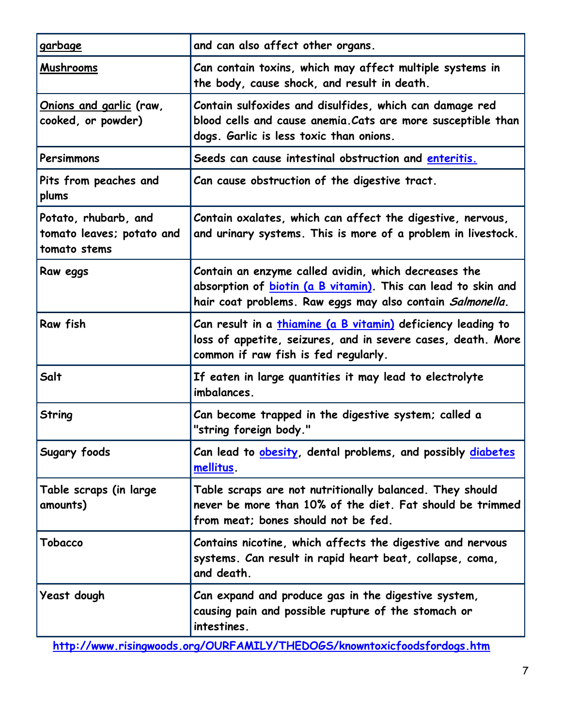| garbage                                                           | and can also affect other organs.                                                                                                                                                          |
|-------------------------------------------------------------------|--------------------------------------------------------------------------------------------------------------------------------------------------------------------------------------------|
| Mushrooms                                                         | Can contain toxins, which may affect multiple systems in<br>the body, cause shock, and result in death.                                                                                    |
| Onions and garlic (raw,<br>cooked, or powder)                     | Contain sulfoxides and disulfides, which can damage red<br>blood cells and cause anemia. Cats are more susceptible than<br>dogs. Garlic is less toxic than onions.                         |
| Persimmons                                                        | Seeds can cause intestinal obstruction and enteritis.                                                                                                                                      |
| Pits from peaches and<br>plums                                    | Can cause obstruction of the digestive tract.                                                                                                                                              |
| Potato, rhubarb, and<br>tomato leaves; potato and<br>tomato stems | Contain oxalates, which can affect the digestive, nervous,<br>and urinary systems. This is more of a problem in livestock.                                                                 |
| Raw eggs                                                          | Contain an enzyme called avidin, which decreases the<br>absorption of <b>biotin (a B vitamin)</b> . This can lead to skin and<br>hair coat problems. Raw eggs may also contain Salmonella. |
| Raw fish                                                          | Can result in a <i>thiamine</i> (a B vitamin) deficiency leading to<br>loss of appetite, seizures, and in severe cases, death. More<br>common if raw fish is fed regularly.                |
| Salt                                                              | If eaten in large quantities it may lead to electrolyte<br>imbalances.                                                                                                                     |
| <b>String</b>                                                     | Can become trapped in the digestive system; called a<br>"string foreign body."                                                                                                             |
| Sugary foods                                                      | Can lead to <b>obesity</b> , dental problems, and possibly <b>diabetes</b><br>mellitus.                                                                                                    |
| Table scraps (in large<br>amounts)                                | Table scraps are not nutritionally balanced. They should<br>never be more than 10% of the diet. Fat should be trimmed<br>from meat; bones should not be fed.                               |
| Tobacco                                                           | Contains nicotine, which affects the digestive and nervous<br>systems. Can result in rapid heart beat, collapse, coma,<br>and death.                                                       |
| Yeast dough                                                       | Can expand and produce gas in the digestive system,<br>causing pain and possible rupture of the stomach or<br>intestines.                                                                  |

**<http://www.risingwoods.org/OURFAMILY/THEDOGS/knowntoxicfoodsfordogs.htm>**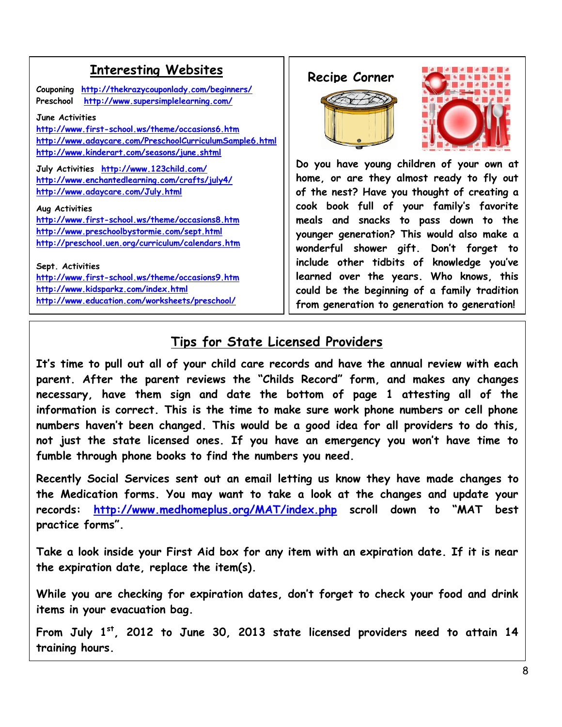# **Enteresting Websites** | Recipe Corner

**Couponing <http://thekrazycouponlady.com/beginners/> Preschool <http://www.supersimplelearning.com/>**

#### **June Activities**

**<http://www.first-school.ws/theme/occasions6.htm> <http://www.adaycare.com/PreschoolCurriculumSample6.html> <http://www.kinderart.com/seasons/june.shtml>**

**July Activities <http://www.123child.com/> <http://www.enchantedlearning.com/crafts/july4/> <http://www.adaycare.com/July.html>**

#### **Aug Activities**

**<http://www.first-school.ws/theme/occasions8.htm> <http://www.preschoolbystormie.com/sept.html> <http://preschool.uen.org/curriculum/calendars.htm>**

**Sept. Activities <http://www.first-school.ws/theme/occasions9.htm> <http://www.kidsparkz.com/index.html> <http://www.education.com/worksheets/preschool/>**





**Do you have young children of your own at home, or are they almost ready to fly out of the nest? Have you thought of creating a cook book full of your family's favorite meals and snacks to pass down to the younger generation? This would also make a wonderful shower gift. Don't forget to include other tidbits of knowledge you've learned over the years. Who knows, this could be the beginning of a family tradition from generation to generation to generation!**

# **Tips for State Licensed Providers**

**It's time to pull out all of your child care records and have the annual review with each parent. After the parent reviews the "Childs Record" form, and makes any changes necessary, have them sign and date the bottom of page 1 attesting all of the information is correct. This is the time to make sure work phone numbers or cell phone numbers haven't been changed. This would be a good idea for all providers to do this, not just the state licensed ones. If you have an emergency you won't have time to fumble through phone books to find the numbers you need.**

**Recently Social Services sent out an email letting us know they have made changes to the Medication forms. You may want to take a look at the changes and update your records: <http://www.medhomeplus.org/MAT/index.php> scroll down to "MAT best practice forms".**

**Take a look inside your First Aid box for any item with an expiration date. If it is near the expiration date, replace the item(s).** 

**While you are checking for expiration dates, don't forget to check your food and drink items in your evacuation bag.**

**From July 1st, 2012 to June 30, 2013 state licensed providers need to attain 14 training hours.**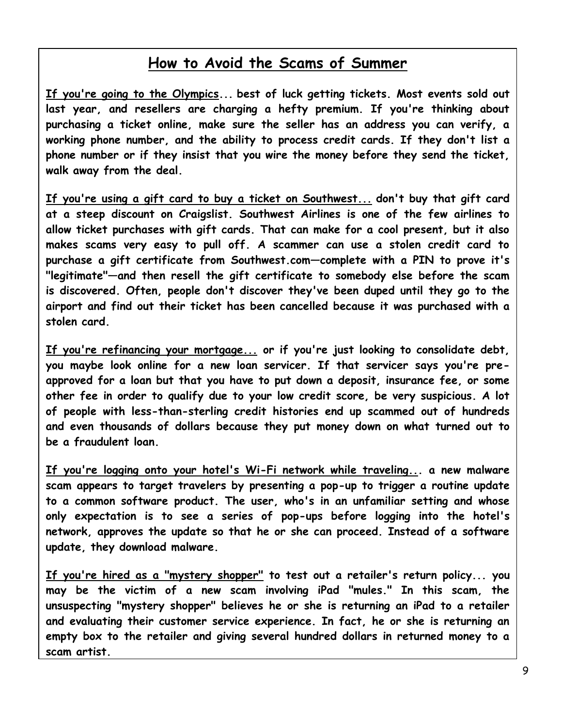# **How to Avoid the Scams of Summer**

**If you're going to the Olympics... best of luck getting tickets. Most events sold out last year, and resellers are charging a hefty premium. If you're thinking about purchasing a ticket online, make sure the seller has an address you can verify, a working phone number, and the ability to process credit cards. If they don't list a phone number or if they insist that you wire the money before they send the ticket, walk away from the deal.** 

**If you're using a gift card to buy a ticket on Southwest... don't buy that gift card at a steep discount on Craigslist. Southwest Airlines is one of the few airlines to allow ticket purchases with gift cards. That can make for a cool present, but it also makes scams very easy to pull off. A scammer can use a stolen credit card to purchase a gift certificate from Southwest.com—complete with a PIN to prove it's "legitimate"—and then resell the gift certificate to somebody else before the scam is discovered. Often, people don't discover they've been duped until they go to the airport and find out their ticket has been cancelled because it was purchased with a stolen card.** 

 **If you're refinancing your mortgage... or if you're just looking to consolidate debt, you maybe look online for a new loan servicer. If that servicer says you're preapproved for a loan but that you have to put down a deposit, insurance fee, or some other fee in order to qualify due to your low credit score, be very suspicious. A lot of people with less-than-sterling credit histories end up scammed out of hundreds and even thousands of dollars because they put money down on what turned out to be a fraudulent loan.**

**If you're logging onto your hotel's Wi-Fi network while traveling... a new malware scam appears to target travelers by presenting a pop-up to trigger a routine update to a common software product. The user, who's in an unfamiliar setting and whose only expectation is to see a series of pop-ups before logging into the hotel's network, approves the update so that he or she can proceed. Instead of a software update, they download malware.**

**If you're hired as a "mystery shopper" to test out a retailer's return policy... you may be the victim of a new scam involving iPad "mules." In this scam, the unsuspecting "mystery shopper" believes he or she is returning an iPad to a retailer and evaluating their customer service experience. In fact, he or she is returning an empty box to the retailer and giving several hundred dollars in returned money to a scam artist.**